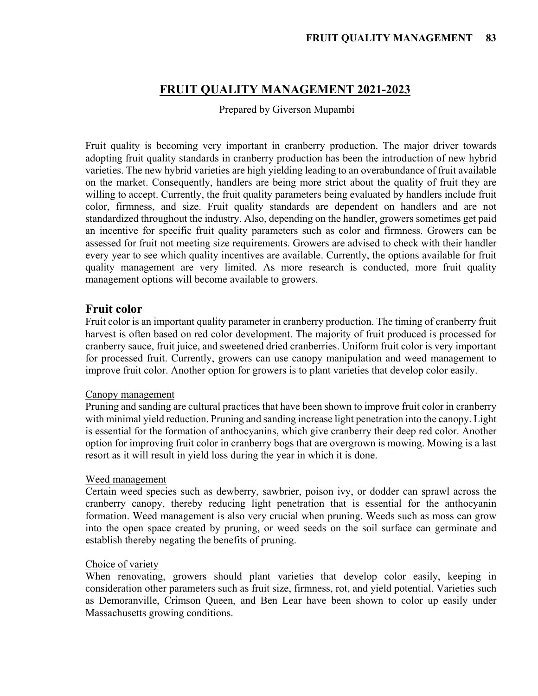# **FRUIT QUALITY MANAGEMENT 2021-2023**

Prepared by Giverson Mupambi

Fruit quality is becoming very important in cranberry production. The major driver towards adopting fruit quality standards in cranberry production has been the introduction of new hybrid varieties. The new hybrid varieties are high yielding leading to an overabundance of fruit available on the market. Consequently, handlers are being more strict about the quality of fruit they are willing to accept. Currently, the fruit quality parameters being evaluated by handlers include fruit color, firmness, and size. Fruit quality standards are dependent on handlers and are not standardized throughout the industry. Also, depending on the handler, growers sometimes get paid an incentive for specific fruit quality parameters such as color and firmness. Growers can be assessed for fruit not meeting size requirements. Growers are advised to check with their handler every year to see which quality incentives are available. Currently, the options available for fruit quality management are very limited. As more research is conducted, more fruit quality management options will become available to growers.

### **Fruit color**

Fruit color is an important quality parameter in cranberry production. The timing of cranberry fruit harvest is often based on red color development. The majority of fruit produced is processed for cranberry sauce, fruit juice, and sweetened dried cranberries. Uniform fruit color is very important for processed fruit. Currently, growers can use canopy manipulation and weed management to improve fruit color. Another option for growers is to plant varieties that develop color easily.

#### Canopy management

Pruning and sanding are cultural practices that have been shown to improve fruit color in cranberry with minimal yield reduction. Pruning and sanding increase light penetration into the canopy. Light is essential for the formation of anthocyanins, which give cranberry their deep red color. Another option for improving fruit color in cranberry bogs that are overgrown is mowing. Mowing is a last resort as it will result in yield loss during the year in which it is done.

#### Weed management

Certain weed species such as dewberry, sawbrier, poison ivy, or dodder can sprawl across the cranberry canopy, thereby reducing light penetration that is essential for the anthocyanin formation. Weed management is also very crucial when pruning. Weeds such as moss can grow into the open space created by pruning, or weed seeds on the soil surface can germinate and establish thereby negating the benefits of pruning.

### Choice of variety

When renovating, growers should plant varieties that develop color easily, keeping in consideration other parameters such as fruit size, firmness, rot, and yield potential. Varieties such as Demoranville, Crimson Queen, and Ben Lear have been shown to color up easily under Massachusetts growing conditions.